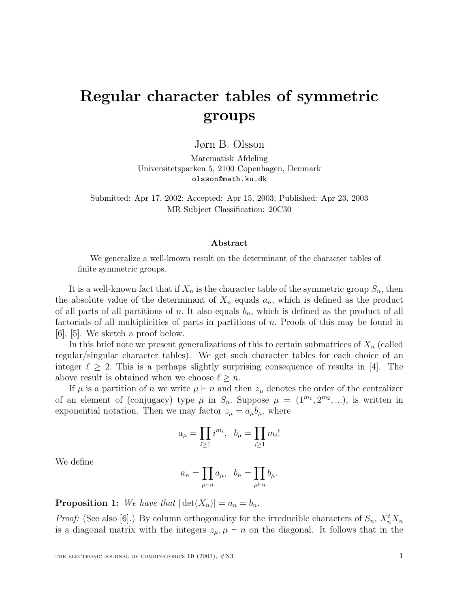## **Regular character tables of symmetric groups**

Jørn B. Olsson

Matematisk Afdeling Universitetsparken 5, 2100 Copenhagen, Denmark olsson@math.ku.dk

Submitted: Apr 17, 2002; Accepted: Apr 15, 2003; Published: Apr 23, 2003 MR Subject Classification: 20C30

## **Abstract**

We generalize a well-known result on the determinant of the character tables of finite symmetric groups.

It is a well-known fact that if  $X_n$  is the character table of the symmetric group  $S_n$ , then the absolute value of the determinant of  $X_n$  equals  $a_n$ , which is defined as the product of all parts of all partitions of n. It also equals  $b_n$ , which is defined as the product of all factorials of all multiplicities of parts in partitions of  $n$ . Proofs of this may be found in [6], [5]. We sketch a proof below.

In this brief note we present generalizations of this to certain submatrices of  $X_n$  (called regular/singular character tables). We get such character tables for each choice of an integer  $\ell \geq 2$ . This is a perhaps slightly surprising consequence of results in [4]. The above result is obtained when we choose  $\ell \geq n$ .

If  $\mu$  is a partition of n we write  $\mu \vdash n$  and then  $z_{\mu}$  denotes the order of the centralizer of an element of (conjugacy) type  $\mu$  in  $S_n$ . Suppose  $\mu = (1^{m_1}, 2^{m_2}, \ldots)$ , is written in exponential notation. Then we may factor  $z_{\mu} = a_{\mu}b_{\mu}$ , where

$$
a_{\mu} = \prod_{i \ge 1} i^{m_i}, \ \ b_{\mu} = \prod_{i \ge 1} m_i!
$$

We define

$$
a_n = \prod_{\mu \vdash n} a_{\mu}, \ \ b_n = \prod_{\mu \vdash n} b_{\mu}.
$$

**Proposition 1:** We have that  $|\det(X_n)| = a_n = b_n$ .

*Proof:* (See also [6].) By column orthogonality for the irreducible characters of  $S_n$ ,  $X_n^t X_n$ is a diagonal matrix with the integers  $z_{\mu}, \mu \vdash n$  on the diagonal. It follows that in the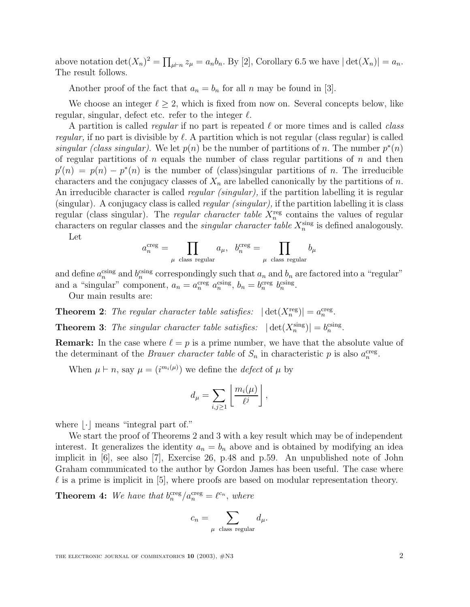above notation  $\det(X_n)^2 = \prod_{\mu \vdash n} z_{\mu} = a_n b_n$ . By [2], Corollary 6.5 we have  $|\det(X_n)| = a_n$ . The result follows.

Another proof of the fact that  $a_n = b_n$  for all n may be found in [3].

We choose an integer  $\ell \geq 2$ , which is fixed from now on. Several concepts below, like regular, singular, defect etc. refer to the integer  $\ell$ .

A partition is called *regular* if no part is repeated  $\ell$  or more times and is called *class regular*, if no part is divisible by  $\ell$ . A partition which is not regular (class regular) is called singular (class singular). We let  $p(n)$  be the number of partitions of n. The number  $p^*(n)$ of regular partitions of n equals the number of class regular partitions of n and then  $p'(n) = p(n) - p^{*}(n)$  is the number of (class)singular partitions of n. The irreducible characters and the conjugacy classes of  $X_n$  are labelled canonically by the partitions of n. An irreducible character is called *regular (singular)*, if the partition labelling it is regular (singular). A conjugacy class is called *regular (singular)*, if the partition labelling it is class regular (class singular). The *regular character table*  $X_n^{\text{reg}}$  contains the values of regular characters on regular classes and the *singular character table*  $X_n^{\text{sing}}$  is defined analogously. Let

> $a_n^{\rm creg} = \prod$  $\mu$  class regular  $a_\mu,~~b^{\rm creg}_n = \prod$  $\mu$  class regular  $b_\mu$

and define  $a_n^{\text{csing}}$  and  $b_n^{\text{csing}}$  correspondingly such that  $a_n$  and  $b_n$  are factored into a "regular" and a "singular" component,  $a_n = a_n^{\text{creg}} a_n^{\text{sing}}, b_n = b_n^{\text{creg}} b_n^{\text{csing}}.$ 

Our main results are:

**Theorem 2**: The regular character table satisfies:  $|\det(X_n^{\text{reg}})| = a_n^{\text{creg}}$ .

**Theorem 3**: The singular character table satisfies:  $|\det(X_n^{\text{sing}})| = b_n^{\text{csing}}$ .

**Remark:** In the case where  $\ell = p$  is a prime number, we have that the absolute value of the determinant of the *Brauer character table* of  $S_n$  in characteristic p is also  $a_n^{\text{creg}}$ .

When  $\mu \vdash n$ , say  $\mu = (i^{m_i(\mu)})$  we define the *defect* of  $\mu$  by

$$
d_{\mu} = \sum_{i,j \geq 1} \left\lfloor \frac{m_i(\mu)}{\ell^j} \right\rfloor,
$$

where  $|\cdot|$  means "integral part of."

We start the proof of Theorems 2 and 3 with a key result which may be of independent interest. It generalizes the identity  $a_n = b_n$  above and is obtained by modifying an idea implicit in [6], see also [7], Exercise 26, p.48 and p.59. An unpublished note of John Graham communicated to the author by Gordon James has been useful. The case where  $\ell$  is a prime is implicit in [5], where proofs are based on modular representation theory.

**Theorem 4:** We have that  $b_n^{\text{creg}}/a_n^{\text{creg}} = \ell^{c_n}$ , where

$$
c_n = \sum_{\mu \text{ class regular}} d_{\mu}.
$$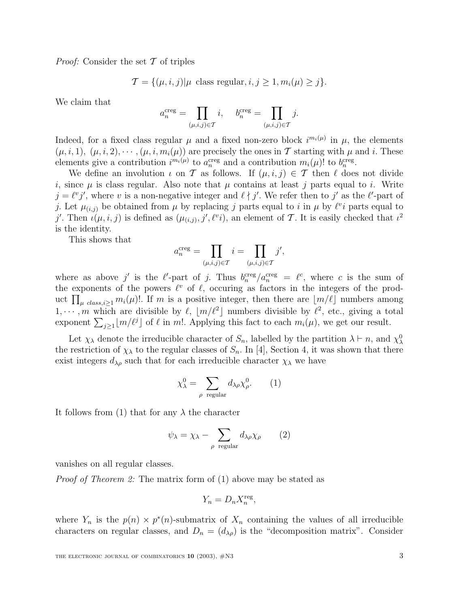*Proof:* Consider the set  $\mathcal T$  of triples

$$
\mathcal{T} = \{(\mu, i, j) | \mu \text{ class regular}, i, j \ge 1, m_i(\mu) \ge j\}.
$$

We claim that

$$
a_n^{\text{creg}} = \prod_{(\mu,i,j)\in\mathcal{T}} i, \quad b_n^{\text{creg}} = \prod_{(\mu,i,j)\in\mathcal{T}} j.
$$

Indeed, for a fixed class regular  $\mu$  and a fixed non-zero block  $i^{m_i(\mu)}$  in  $\mu$ , the elements  $(\mu, i, 1), (\mu, i, 2), \cdots, (\mu, i, m_i(\mu))$  are precisely the ones in T starting with  $\mu$  and i. These elements give a contribution  $i^{m_i(\mu)}$  to  $a_n^{\text{creg}}$  and a contribution  $m_i(\mu)$ ! to  $b_n^{\text{creg}}$ .

We define an involution  $\iota$  on T as follows. If  $(\mu, i, j) \in \mathcal{T}$  then  $\ell$  does not divide i, since  $\mu$  is class regular. Also note that  $\mu$  contains at least j parts equal to i. Write  $j = \ell^v j'$ , where v is a non-negative integer and  $\ell \nmid j'$ . We refer then to j' as the  $\ell'$ -part of j. Let  $\mu_{(i,j)}$  be obtained from  $\mu$  by replacing j parts equal to i in  $\mu$  by  $\ell^{v_i}$  parts equal to j'. Then  $\tilde{\iota}(\mu, i, j)$  is defined as  $(\mu_{(i,j)}, j', \ell^v i)$ , an element of T. It is easily checked that  $\iota^2$ is the identity.

This shows that

$$
a_n^{\text{creg}} = \prod_{(\mu,i,j)\in\mathcal{I}} i = \prod_{(\mu,i,j)\in\mathcal{I}} j',
$$

where as above j' is the  $\ell'$ -part of j. Thus  $b_n^{\text{creg}}/a_n^{\text{creg}} = \ell^c$ , where c is the sum of the exponents of the powers  $\ell^v$  of  $\ell$ , occuring as factors in the integers of the product  $\prod_{\mu \text{ class}, i \geq 1} m_i(\mu)!$ . If m is a positive integer, then there are  $\lfloor m/\ell \rfloor$  numbers among  $1, \cdots, m$  which are divisible by  $\ell, \lfloor m/\ell^2 \rfloor$  numbers divisible by  $\ell^2$ , etc., giving a total exponent  $\sum_{j\geq 1} \lfloor m/\ell^j \rfloor$  of  $\ell$  in m!. Applying this fact to each  $m_i(\mu)$ , we get our result.

Let  $\chi_{\lambda}$  denote the irreducible character of  $S_n$ , labelled by the partition  $\lambda \vdash n$ , and  $\chi_{\lambda}^0$ the restriction of  $\chi_{\lambda}$  to the regular classes of  $S_n$ . In [4], Section 4, it was shown that there exist integers  $d_{\lambda\rho}$  such that for each irreducible character  $\chi_{\lambda}$  we have

$$
\chi_{\lambda}^{0} = \sum_{\rho \text{ regular}} d_{\lambda \rho} \chi_{\rho}^{0}.
$$
 (1)

It follows from (1) that for any  $\lambda$  the character

$$
\psi_{\lambda} = \chi_{\lambda} - \sum_{\rho \text{ regular}} d_{\lambda \rho} \chi_{\rho} \qquad (2)
$$

vanishes on all regular classes.

Proof of Theorem 2: The matrix form of (1) above may be stated as

$$
Y_n = D_n X_n^{\text{reg}},
$$

where  $Y_n$  is the  $p(n) \times p^*(n)$ -submatrix of  $X_n$  containing the values of all irreducible characters on regular classes, and  $D_n = (d_{\lambda\rho})$  is the "decomposition matrix". Consider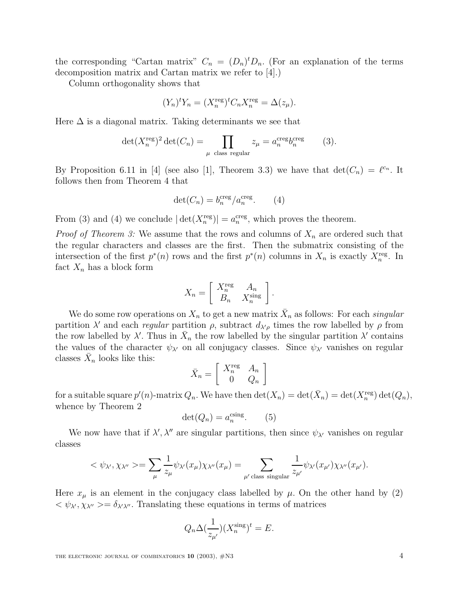the corresponding "Cartan matrix"  $C_n = (D_n)^t D_n$ . (For an explanation of the terms decomposition matrix and Cartan matrix we refer to [4].)

Column orthogonality shows that

$$
(Y_n)^t Y_n = (X_n^{\text{reg}})^t C_n X_n^{\text{reg}} = \Delta(z_\mu).
$$

Here  $\Delta$  is a diagonal matrix. Taking determinants we see that

$$
\det(X_n^{\text{reg}})^2 \det(C_n) = \prod_{\mu \text{ class regular}} z_{\mu} = a_n^{\text{creg}} b_n^{\text{creg}} \qquad (3).
$$

By Proposition 6.11 in [4] (see also [1], Theorem 3.3) we have that  $\det(C_n) = \ell^{c_n}$ . It follows then from Theorem 4 that

$$
\det(C_n) = b_n^{\text{creg}} / a_n^{\text{creg}}.
$$
 (4)

From (3) and (4) we conclude  $|\det(X_n^{\text{reg}})| = a_n^{\text{creg}}$ , which proves the theorem.

*Proof of Theorem 3:* We assume that the rows and columns of  $X_n$  are ordered such that the regular characters and classes are the first. Then the submatrix consisting of the intersection of the first  $p^*(n)$  rows and the first  $p^*(n)$  columns in  $X_n$  is exactly  $\overline{X_n^{\text{reg}}}$ . In fact  $X_n$  has a block form

$$
X_n = \left[ \begin{array}{cc} X_n^{\text{reg}} & A_n \\ B_n & X_n^{\text{sing}} \end{array} \right].
$$

We do some row operations on  $X_n$  to get a new matrix  $\bar{X}_n$  as follows: For each *singular* partition  $\lambda'$  and each *regular* partition  $\rho$ , subtract  $d_{\lambda'\rho}$  times the row labelled by  $\rho$  from the row labelled by  $\lambda'$ . Thus in  $\bar{X}_n$  the row labelled by the singular partition  $\lambda'$  contains the values of the character  $\psi_{\lambda'}$  on all conjugacy classes. Since  $\psi_{\lambda'}$  vanishes on regular classes  $X_n$  looks like this:

$$
\bar{X}_n = \left[ \begin{array}{cc} X_n^{\text{reg}} & A_n \\ 0 & Q_n \end{array} \right]
$$

for a suitable square  $p'(n)$ -matrix  $Q_n$ . We have then  $\det(X_n) = \det(\bar{X}_n) = \det(X_n^{\text{reg}}) \det(Q_n)$ , whence by Theorem 2

$$
\det(Q_n) = a_n^{\text{csing}}.\tag{5}
$$

We now have that if  $\lambda', \lambda''$  are singular partitions, then since  $\psi_{\lambda'}$  vanishes on regular classes

$$
<\psi_{\lambda'}, \chi_{\lambda''}>=\sum_{\mu}\frac{1}{z_{\mu}}\psi_{\lambda'}(x_{\mu})\chi_{\lambda''}(x_{\mu})=\sum_{\mu'\text{ class singular}}\frac{1}{z_{\mu'}}\psi_{\lambda'}(x_{\mu'})\chi_{\lambda''}(x_{\mu'}).
$$

Here  $x_{\mu}$  is an element in the conjugacy class labelled by  $\mu$ . On the other hand by (2)  $\langle \psi_{\lambda}, \chi_{\lambda''} \rangle = \delta_{\lambda'\lambda''}$ . Translating these equations in terms of matrices

$$
Q_n \Delta(\frac{1}{z_{\mu'}})(X_n^{\text{sing}})^t = E.
$$

THE ELECTRONIC JOURNAL OF COMBINATORICS  $10$  (2003),  $\#N3$   $4$